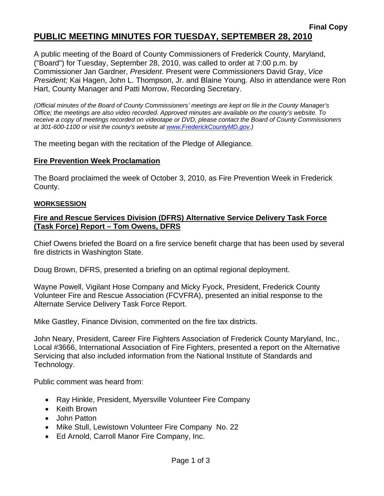A public meeting of the Board of County Commissioners of Frederick County, Maryland, ("Board") for Tuesday, September 28, 2010, was called to order at 7:00 p.m. by Commissioner Jan Gardner, *President*. Present were Commissioners David Gray, *Vice President;* Kai Hagen, John L. Thompson, Jr. and Blaine Young. Also in attendance were Ron Hart, County Manager and Patti Morrow, Recording Secretary.

*(Official minutes of the Board of County Commissioners' meetings are kept on file in the County Manager's Office; the meetings are also video recorded. Approved minutes are available on the county's website. To receive a copy of meetings recorded on videotape or DVD, please contact the Board of County Commissioners at 301-600-1100 or visit the county's website at [www.FrederickCountyMD.gov.\)](http://www.frederickcountymd.gov.)/)* 

The meeting began with the recitation of the Pledge of Allegiance.

## **Fire Prevention Week Proclamation**

The Board proclaimed the week of October 3, 2010, as Fire Prevention Week in Frederick County.

#### **WORKSESSION**

#### **Fire and Rescue Services Division (DFRS) Alternative Service Delivery Task Force (Task Force) Report – Tom Owens, DFRS**

Chief Owens briefed the Board on a fire service benefit charge that has been used by several fire districts in Washington State.

Doug Brown, DFRS, presented a briefing on an optimal regional deployment.

Wayne Powell, Vigilant Hose Company and Micky Fyock, President, Frederick County Volunteer Fire and Rescue Association (FCVFRA), presented an initial response to the Alternate Service Delivery Task Force Report.

Mike Gastley, Finance Division, commented on the fire tax districts.

John Neary, President, Career Fire Fighters Association of Frederick County Maryland, Inc., Local #3666, International Association of Fire Fighters, presented a report on the Alternative Servicing that also included information from the National Institute of Standards and Technology.

Public comment was heard from:

- Ray Hinkle, President, Myersville Volunteer Fire Company
- Keith Brown
- John Patton
- Mike Stull, Lewistown Volunteer Fire Company No. 22
- Ed Arnold, Carroll Manor Fire Company, Inc.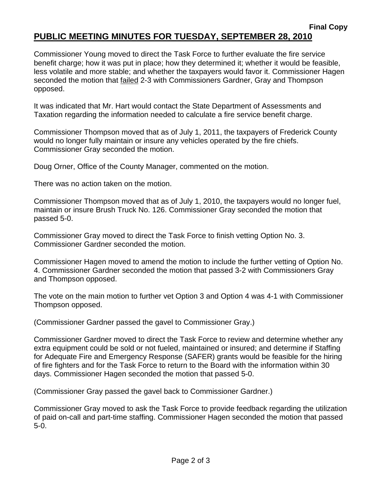## **Final Copy PUBLIC MEETING MINUTES FOR TUESDAY, SEPTEMBER 28, 2010**

Commissioner Young moved to direct the Task Force to further evaluate the fire service benefit charge; how it was put in place; how they determined it; whether it would be feasible, less volatile and more stable; and whether the taxpayers would favor it. Commissioner Hagen seconded the motion that failed 2-3 with Commissioners Gardner, Gray and Thompson opposed.

It was indicated that Mr. Hart would contact the State Department of Assessments and Taxation regarding the information needed to calculate a fire service benefit charge.

Commissioner Thompson moved that as of July 1, 2011, the taxpayers of Frederick County would no longer fully maintain or insure any vehicles operated by the fire chiefs. Commissioner Gray seconded the motion.

Doug Orner, Office of the County Manager, commented on the motion.

There was no action taken on the motion.

Commissioner Thompson moved that as of July 1, 2010, the taxpayers would no longer fuel, maintain or insure Brush Truck No. 126. Commissioner Gray seconded the motion that passed 5-0.

Commissioner Gray moved to direct the Task Force to finish vetting Option No. 3. Commissioner Gardner seconded the motion.

Commissioner Hagen moved to amend the motion to include the further vetting of Option No. 4. Commissioner Gardner seconded the motion that passed 3-2 with Commissioners Gray and Thompson opposed.

The vote on the main motion to further vet Option 3 and Option 4 was 4-1 with Commissioner Thompson opposed.

(Commissioner Gardner passed the gavel to Commissioner Gray.)

Commissioner Gardner moved to direct the Task Force to review and determine whether any extra equipment could be sold or not fueled, maintained or insured; and determine if Staffing for Adequate Fire and Emergency Response (SAFER) grants would be feasible for the hiring of fire fighters and for the Task Force to return to the Board with the information within 30 days. Commissioner Hagen seconded the motion that passed 5-0.

(Commissioner Gray passed the gavel back to Commissioner Gardner.)

Commissioner Gray moved to ask the Task Force to provide feedback regarding the utilization of paid on-call and part-time staffing. Commissioner Hagen seconded the motion that passed 5-0.